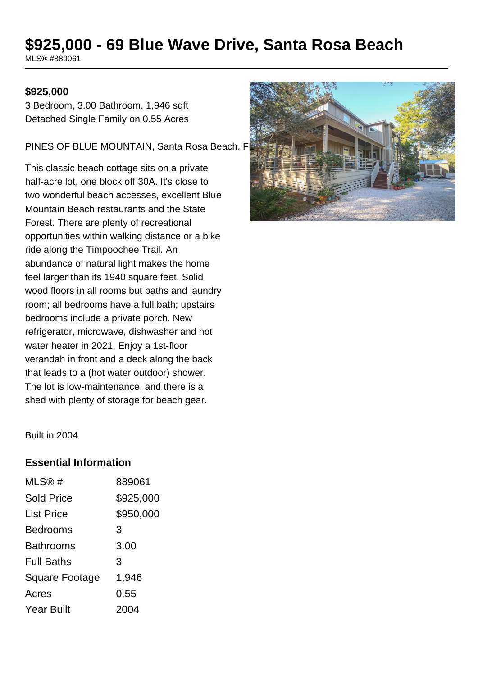# **\$925,000 - 69 Blue Wave Drive, Santa Rosa Beach**

MLS® #889061

#### **\$925,000**

3 Bedroom, 3.00 Bathroom, 1,946 sqft Detached Single Family on 0.55 Acres

PINES OF BLUE MOUNTAIN, Santa Rosa Beach, F

This classic beach cottage sits on a private half-acre lot, one block off 30A. It's close to two wonderful beach accesses, excellent Blue Mountain Beach restaurants and the State Forest. There are plenty of recreational opportunities within walking distance or a bike ride along the Timpoochee Trail. An abundance of natural light makes the home feel larger than its 1940 square feet. Solid wood floors in all rooms but baths and laundry room; all bedrooms have a full bath; upstairs bedrooms include a private porch. New refrigerator, microwave, dishwasher and hot water heater in 2021. Enjoy a 1st-floor verandah in front and a deck along the back that leads to a (hot water outdoor) shower. The lot is low-maintenance, and there is a shed with plenty of storage for beach gear.



Built in 2004

#### **Essential Information**

| MLS@#                 | 889061    |
|-----------------------|-----------|
| <b>Sold Price</b>     | \$925,000 |
| <b>List Price</b>     | \$950,000 |
| <b>Bedrooms</b>       | 3         |
| <b>Bathrooms</b>      | 3.00      |
| <b>Full Baths</b>     | 3         |
| <b>Square Footage</b> | 1,946     |
| Acres                 | 0.55      |
| <b>Year Built</b>     | 2004      |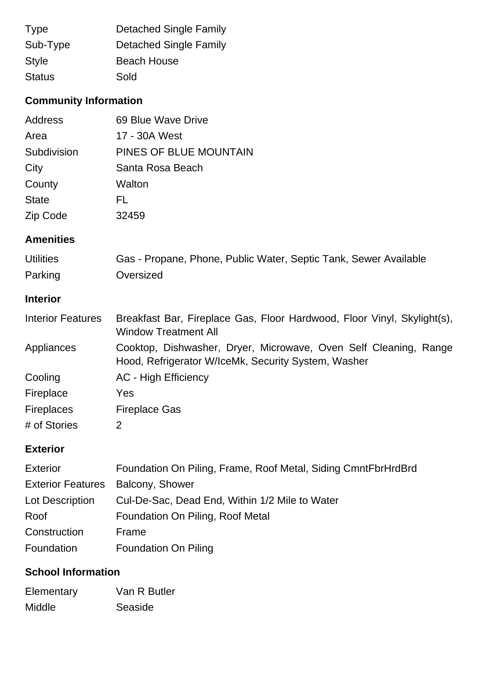| <b>Type</b>   | <b>Detached Single Family</b> |
|---------------|-------------------------------|
| Sub-Type      | <b>Detached Single Family</b> |
| <b>Style</b>  | <b>Beach House</b>            |
| <b>Status</b> | Sold                          |

# **Community Information**

| Address         | 69 Blue Wave Drive     |
|-----------------|------------------------|
| Area            | 17 - 30A West          |
| Subdivision     | PINES OF BLUE MOUNTAIN |
| City            | Santa Rosa Beach       |
| County          | Walton                 |
| <b>State</b>    | FL.                    |
| <b>Zip Code</b> | 32459                  |

### **Amenities**

| <b>Utilities</b> | Gas - Propane, Phone, Public Water, Septic Tank, Sewer Available |
|------------------|------------------------------------------------------------------|
| Parking          | Oversized                                                        |

### **Interior**

| <b>Interior Features</b> | Breakfast Bar, Fireplace Gas, Floor Hardwood, Floor Vinyl, Skylight(s),<br><b>Window Treatment All</b>                  |
|--------------------------|-------------------------------------------------------------------------------------------------------------------------|
| Appliances               | Cooktop, Dishwasher, Dryer, Microwave, Oven Self Cleaning, Range<br>Hood, Refrigerator W/IceMk, Security System, Washer |
| Cooling                  | <b>AC - High Efficiency</b>                                                                                             |
| Fireplace                | Yes                                                                                                                     |
| <b>Fireplaces</b>        | <b>Fireplace Gas</b>                                                                                                    |
| # of Stories             | 2                                                                                                                       |

### **Exterior**

| <b>Exterior</b>          | Foundation On Piling, Frame, Roof Metal, Siding CmntFbrHrdBrd |
|--------------------------|---------------------------------------------------------------|
| <b>Exterior Features</b> | Balcony, Shower                                               |
| Lot Description          | Cul-De-Sac, Dead End, Within 1/2 Mile to Water                |
| Roof                     | Foundation On Piling, Roof Metal                              |
| Construction             | Frame                                                         |
| Foundation               | <b>Foundation On Piling</b>                                   |

## **School Information**

| Elementary | Van R Butler |
|------------|--------------|
| Middle     | Seaside      |